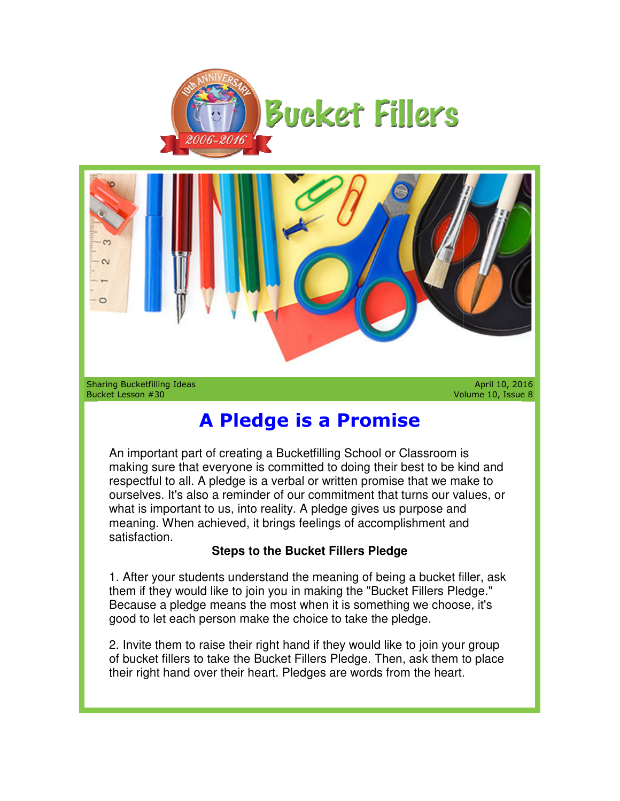



Sharing Bucketfilling Ideas Bucket Lesson #30

Volume 10, Issue 8

## **A Pledge is a Promise is**

An important part of creating a Bucketfilling School or Classroom is making sure that everyone is committed to doing their best to be kind and respectful to all. A pledge is a verbal or written promise that we make to making sure that everyone is committed to doing their best to be kind and<br>respectful to all. A pledge is a verbal or written promise that we make to<br>ourselves. It's also a reminder of our commitment that turns our values, what is important to us, into reality. A pledge gives us purpose and what is important to us, into reality. A pledge gives us purpose and<br>meaning. When achieved, it brings feelings of accomplishment and satisfaction. **A Pledge is a Promise**<br> **A pledge is a Promise**<br>
An important part of creating a Bucketfilling School or Classroom is<br>
making sure that everyone is committed to doing their best to be kind and<br>
respectful to all. A pledge

## **Steps to the Bucket Fillers Pledge**

1. After your students understand the meaning of being a bucket filler, ask them if they would like to join you in making the "Bucket Fillers Pledge." Because a pledge means the most when it is something we choose, it's good to let each person make the choice to take the pledge. your students understand the meaning of being a bu<br>hey would like to join you in making the "Bucket Fille<br>a a pledge means the most when it is something we<br>let each person make the choice to take the pledge.

2. Invite them to raise their right hand if they would like to join your group of bucket fillers to take the Bucket Fillers Pledge. Then, ask them to place their right hand over their heart. Pledges are words from the heart.